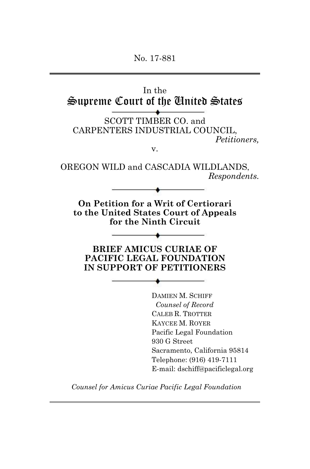No. 17-881



*Counsel for Amicus Curiae Pacific Legal Foundation*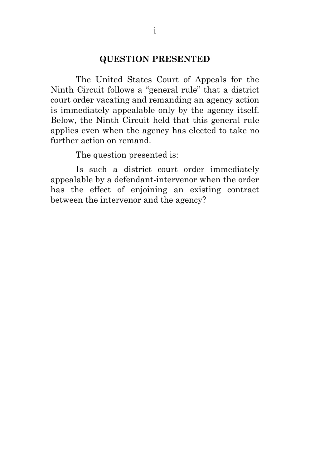#### **QUESTION PRESENTED**

<span id="page-1-0"></span>The United States Court of Appeals for the Ninth Circuit follows a "general rule" that a district court order vacating and remanding an agency action is immediately appealable only by the agency itself. Below, the Ninth Circuit held that this general rule applies even when the agency has elected to take no further action on remand.

The question presented is:

Is such a district court order immediately appealable by a defendant-intervenor when the order has the effect of enjoining an existing contract between the intervenor and the agency?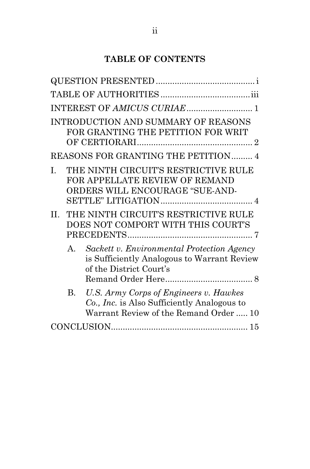# **TABLE OF CONTENTS**

|              | INTRODUCTION AND SUMMARY OF REASONS<br>FOR GRANTING THE PETITION FOR WRIT<br>REASONS FOR GRANTING THE PETITION 4                |
|--------------|---------------------------------------------------------------------------------------------------------------------------------|
| I.           | THE NINTH CIRCUIT'S RESTRICTIVE RULE<br>FOR APPELLATE REVIEW OF REMAND<br>ORDERS WILL ENCOURAGE "SUE-AND-                       |
| $\Pi$ .      | THE NINTH CIRCUIT'S RESTRICTIVE RULE<br>DOES NOT COMPORT WITH THIS COURT'S                                                      |
| $\mathbf{A}$ | Sackett v. Environmental Protection Agency<br>is Sufficiently Analogous to Warrant Review<br>of the District Court's            |
| B.           | U.S. Army Corps of Engineers v. Hawkes<br>Co., Inc. is Also Sufficiently Analogous to<br>Warrant Review of the Remand Order  10 |
|              |                                                                                                                                 |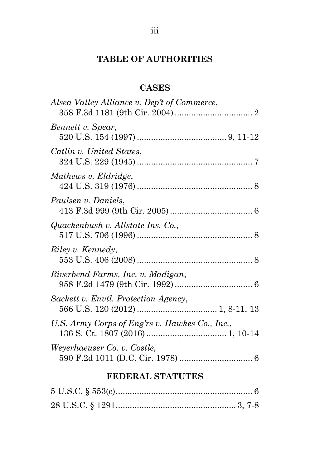# **TABLE OF AUTHORITIES**

# **CASES**

<span id="page-3-0"></span>

| Alsea Valley Alliance v. Dep't of Commerce,    |  |
|------------------------------------------------|--|
| Bennett v. Spear,                              |  |
| Catlin v. United States,                       |  |
| Mathews v. Eldridge,                           |  |
| Paulsen v. Daniels,                            |  |
| Quackenbush v. Allstate Ins. Co.,              |  |
| Riley v. Kennedy,                              |  |
| Riverbend Farms, Inc. v. Madigan,              |  |
| Sackett v. Envtl. Protection Agency,           |  |
| U.S. Army Corps of Eng'rs v. Hawkes Co., Inc., |  |
| Weyerhaeuser Co. v. Costle,                    |  |

# **FEDERAL STATUTES**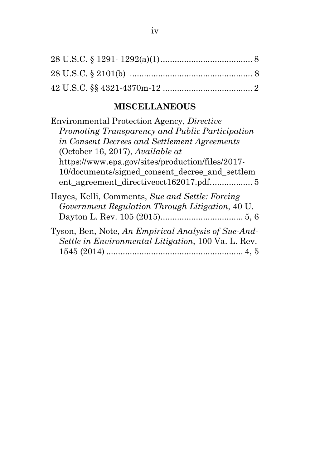# **MISCELLANEOUS**

| Environmental Protection Agency, Directive                                                                 |
|------------------------------------------------------------------------------------------------------------|
| Promoting Transparency and Public Participation                                                            |
| in Consent Decrees and Settlement Agreements                                                               |
| (October 16, 2017), Available at                                                                           |
| https://www.epa.gov/sites/production/files/2017-                                                           |
| 10/documents/signed_consent_decree_and_settlem                                                             |
| Hayes, Kelli, Comments, Sue and Settle: Forcing<br>Government Regulation Through Litigation, 40 U.         |
| Tyson, Ben, Note, An Empirical Analysis of Sue-And-<br>Settle in Environmental Litigation, 100 Va. L. Rev. |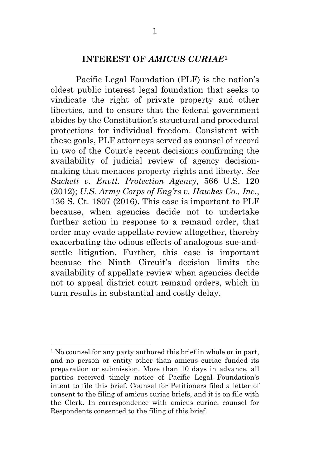#### **INTEREST OF** *AMICUS CURIAE***[1](#page-5-1)**

<span id="page-5-0"></span>Pacific Legal Foundation (PLF) is the nation's oldest public interest legal foundation that seeks to vindicate the right of private property and other liberties, and to ensure that the federal government abides by the Constitution's structural and procedural protections for individual freedom. Consistent with these goals, PLF attorneys served as counsel of record in two of the Court's recent decisions confirming the availability of judicial review of agency decisionmaking that menaces property rights and liberty. *See Sackett v. Envtl. Protection Agency*, 566 U.S. 120 (2012); *U.S. Army Corps of Eng'rs v. Hawkes Co., Inc.*, 136 S. Ct. 1807 (2016). This case is important to PLF because, when agencies decide not to undertake further action in response to a remand order, that order may evade appellate review altogether, thereby exacerbating the odious effects of analogous sue-andsettle litigation. Further, this case is important because the Ninth Circuit's decision limits the availability of appellate review when agencies decide not to appeal district court remand orders, which in turn results in substantial and costly delay.

<span id="page-5-1"></span><sup>&</sup>lt;sup>1</sup> No counsel for any party authored this brief in whole or in part, and no person or entity other than amicus curiae funded its preparation or submission. More than 10 days in advance, all parties received timely notice of Pacific Legal Foundation's intent to file this brief. Counsel for Petitioners filed a letter of consent to the filing of amicus curiae briefs, and it is on file with the Clerk. In correspondence with amicus curiae, counsel for Respondents consented to the filing of this brief.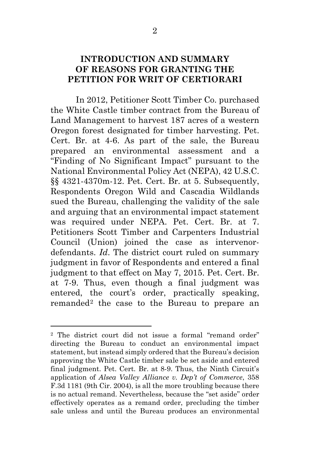#### <span id="page-6-0"></span>**INTRODUCTION AND SUMMARY OF REASONS FOR GRANTING THE PETITION FOR WRIT OF CERTIORARI**

In 2012, Petitioner Scott Timber Co. purchased the White Castle timber contract from the Bureau of Land Management to harvest 187 acres of a western Oregon forest designated for timber harvesting. Pet. Cert. Br. at 4-6. As part of the sale, the Bureau prepared an environmental assessment and a "Finding of No Significant Impact" pursuant to the National Environmental Policy Act (NEPA), 42 U.S.C. §§ 4321-4370m-12. Pet. Cert. Br. at 5. Subsequently, Respondents Oregon Wild and Cascadia Wildlands sued the Bureau, challenging the validity of the sale and arguing that an environmental impact statement was required under NEPA. Pet. Cert. Br. at 7. Petitioners Scott Timber and Carpenters Industrial Council (Union) joined the case as intervenordefendants. *Id*. The district court ruled on summary judgment in favor of Respondents and entered a final judgment to that effect on May 7, 2015. Pet. Cert. Br. at 7-9. Thus, even though a final judgment was entered, the court's order, practically speaking, remanded[2](#page-6-1) the case to the Bureau to prepare an

<span id="page-6-1"></span><sup>2</sup> The district court did not issue a formal "remand order" directing the Bureau to conduct an environmental impact statement, but instead simply ordered that the Bureau's decision approving the White Castle timber sale be set aside and entered final judgment. Pet. Cert. Br. at 8-9. Thus, the Ninth Circuit's application of *Alsea Valley Alliance v. Dep't of Commerce*, 358 F.3d 1181 (9th Cir. 2004), is all the more troubling because there is no actual remand. Nevertheless, because the "set aside" order effectively operates as a remand order, precluding the timber sale unless and until the Bureau produces an environmental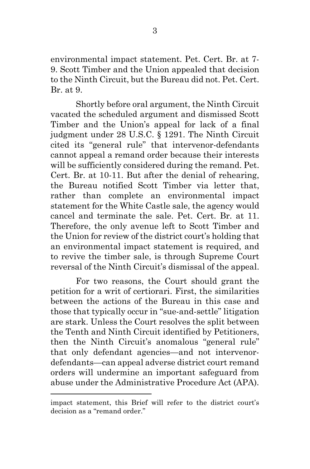environmental impact statement. Pet. Cert. Br. at 7- 9. Scott Timber and the Union appealed that decision to the Ninth Circuit, but the Bureau did not. Pet. Cert. Br. at 9.

Shortly before oral argument, the Ninth Circuit vacated the scheduled argument and dismissed Scott Timber and the Union's appeal for lack of a final judgment under 28 U.S.C. § 1291. The Ninth Circuit cited its "general rule" that intervenor-defendants cannot appeal a remand order because their interests will be sufficiently considered during the remand. Pet. Cert. Br. at 10-11. But after the denial of rehearing, the Bureau notified Scott Timber via letter that, rather than complete an environmental impact statement for the White Castle sale, the agency would cancel and terminate the sale. Pet. Cert. Br. at 11. Therefore, the only avenue left to Scott Timber and the Union for review of the district court's holding that an environmental impact statement is required, and to revive the timber sale, is through Supreme Court reversal of the Ninth Circuit's dismissal of the appeal.

For two reasons, the Court should grant the petition for a writ of certiorari. First, the similarities between the actions of the Bureau in this case and those that typically occur in "sue-and-settle" litigation are stark. Unless the Court resolves the split between the Tenth and Ninth Circuit identified by Petitioners, then the Ninth Circuit's anomalous "general rule" that only defendant agencies—and not intervenordefendants—can appeal adverse district court remand orders will undermine an important safeguard from abuse under the Administrative Procedure Act (APA).

impact statement, this Brief will refer to the district court's decision as a "remand order."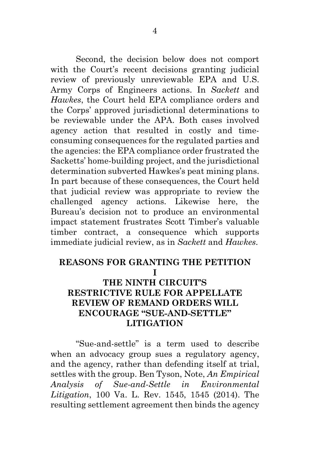Second, the decision below does not comport with the Court's recent decisions granting judicial review of previously unreviewable EPA and U.S. Army Corps of Engineers actions. In *Sackett* and *Hawkes*, the Court held EPA compliance orders and the Corps' approved jurisdictional determinations to be reviewable under the APA. Both cases involved agency action that resulted in costly and timeconsuming consequences for the regulated parties and the agencies: the EPA compliance order frustrated the Sacketts' home-building project, and the jurisdictional determination subverted Hawkes's peat mining plans. In part because of these consequences, the Court held that judicial review was appropriate to review the challenged agency actions. Likewise here, the Bureau's decision not to produce an environmental impact statement frustrates Scott Timber's valuable timber contract, a consequence which supports immediate judicial review, as in *Sackett* and *Hawkes*.

#### <span id="page-8-0"></span>**REASONS FOR GRANTING THE PETITION I**

### **THE NINTH CIRCUIT'S RESTRICTIVE RULE FOR APPELLATE REVIEW OF REMAND ORDERS WILL ENCOURAGE "SUE-AND-SETTLE" LITIGATION**

"Sue-and-settle" is a term used to describe when an advocacy group sues a regulatory agency, and the agency, rather than defending itself at trial, settles with the group. Ben Tyson, Note, *An Empirical Analysis of Sue-and-Settle in Environmental Litigation*, 100 Va. L. Rev. 1545, 1545 (2014). The resulting settlement agreement then binds the agency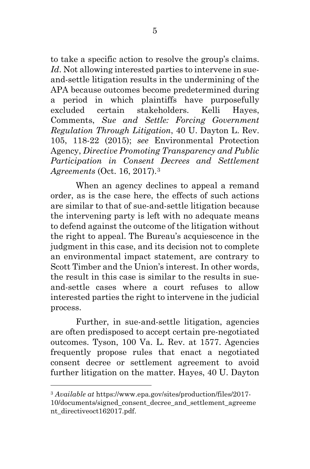to take a specific action to resolve the group's claims. *Id*. Not allowing interested parties to intervene in sueand-settle litigation results in the undermining of the APA because outcomes become predetermined during a period in which plaintiffs have purposefully excluded certain stakeholders. Kelli Hayes, Comments, *Sue and Settle: Forcing Government Regulation Through Litigation*, 40 U. Dayton L. Rev. 105, 118-22 (2015); *see* Environmental Protection Agency, *Directive Promoting Transparency and Public Participation in Consent Decrees and Settlement Agreements* (Oct. 16, 2017).[3](#page-9-0)

When an agency declines to appeal a remand order, as is the case here, the effects of such actions are similar to that of sue-and-settle litigation because the intervening party is left with no adequate means to defend against the outcome of the litigation without the right to appeal. The Bureau's acquiescence in the judgment in this case, and its decision not to complete an environmental impact statement, are contrary to Scott Timber and the Union's interest. In other words, the result in this case is similar to the results in sueand-settle cases where a court refuses to allow interested parties the right to intervene in the judicial process.

Further, in sue-and-settle litigation, agencies are often predisposed to accept certain pre-negotiated outcomes. Tyson, 100 Va. L. Rev. at 1577. Agencies frequently propose rules that enact a negotiated consent decree or settlement agreement to avoid further litigation on the matter. Hayes, 40 U. Dayton

<span id="page-9-0"></span><sup>3</sup> *Available at* https://www.epa.gov/sites/production/files/2017- 10/documents/signed\_consent\_decree\_and\_settlement\_agreeme nt\_directiveoct162017.pdf.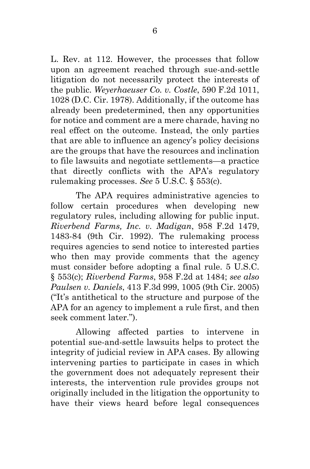L. Rev. at 112. However, the processes that follow upon an agreement reached through sue-and-settle litigation do not necessarily protect the interests of the public. *Weyerhaeuser Co. v. Costle*, 590 F.2d 1011, 1028 (D.C. Cir. 1978). Additionally, if the outcome has already been predetermined, then any opportunities for notice and comment are a mere charade, having no real effect on the outcome. Instead, the only parties that are able to influence an agency's policy decisions are the groups that have the resources and inclination to file lawsuits and negotiate settlements—a practice that directly conflicts with the APA's regulatory rulemaking processes. *See* 5 U.S.C. § 553(c).

The APA requires administrative agencies to follow certain procedures when developing new regulatory rules, including allowing for public input. *Riverbend Farms, Inc. v. Madigan*, 958 F.2d 1479, 1483-84 (9th Cir. 1992). The rulemaking process requires agencies to send notice to interested parties who then may provide comments that the agency must consider before adopting a final rule. 5 U.S.C. § 553(c); *Riverbend Farms*, 958 F.2d at 1484; *see also Paulsen v. Daniels*, 413 F.3d 999, 1005 (9th Cir. 2005) ("It's antithetical to the structure and purpose of the APA for an agency to implement a rule first, and then seek comment later.").

Allowing affected parties to intervene in potential sue-and-settle lawsuits helps to protect the integrity of judicial review in APA cases. By allowing intervening parties to participate in cases in which the government does not adequately represent their interests, the intervention rule provides groups not originally included in the litigation the opportunity to have their views heard before legal consequences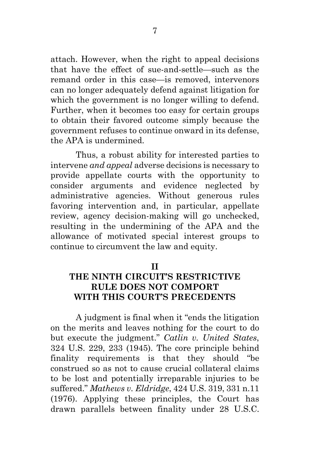attach. However, when the right to appeal decisions that have the effect of sue-and-settle—such as the remand order in this case—is removed, intervenors can no longer adequately defend against litigation for which the government is no longer willing to defend. Further, when it becomes too easy for certain groups to obtain their favored outcome simply because the government refuses to continue onward in its defense, the APA is undermined.

Thus, a robust ability for interested parties to intervene *and appeal* adverse decisions is necessary to provide appellate courts with the opportunity to consider arguments and evidence neglected by administrative agencies. Without generous rules favoring intervention and, in particular, appellate review, agency decision-making will go unchecked, resulting in the undermining of the APA and the allowance of motivated special interest groups to continue to circumvent the law and equity.

#### **II**

## <span id="page-11-0"></span>**THE NINTH CIRCUIT'S RESTRICTIVE RULE DOES NOT COMPORT WITH THIS COURT'S PRECEDENTS**

A judgment is final when it "ends the litigation on the merits and leaves nothing for the court to do but execute the judgment." *Catlin v. United States*, 324 U.S. 229, 233 (1945). The core principle behind finality requirements is that they should "be construed so as not to cause crucial collateral claims to be lost and potentially irreparable injuries to be suffered." *Mathews v. Eldridge*, 424 U.S. 319, 331 n.11 (1976). Applying these principles, the Court has drawn parallels between finality under 28 U.S.C.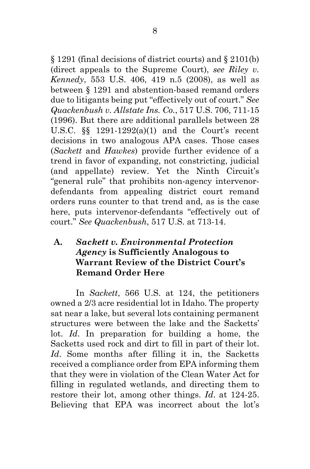§ 1291 (final decisions of district courts) and § 2101(b) (direct appeals to the Supreme Court), *see Riley v. Kennedy*, 553 U.S. 406, 419 n.5 (2008), as well as between § 1291 and abstention-based remand orders due to litigants being put "effectively out of court." *See Quackenbush v. Allstate Ins. Co.*, 517 U.S. 706, 711-15 (1996). But there are additional parallels between 28 U.S.C. §§ 1291-1292(a)(1) and the Court's recent decisions in two analogous APA cases. Those cases (*Sackett* and *Hawkes*) provide further evidence of a trend in favor of expanding, not constricting, judicial (and appellate) review. Yet the Ninth Circuit's "general rule" that prohibits non-agency intervenordefendants from appealing district court remand orders runs counter to that trend and, as is the case here, puts intervenor-defendants "effectively out of court." *See Quackenbush*, 517 U.S. at 713-14.

## <span id="page-12-0"></span>**A.** *Sackett v. Environmental Protection Agency* **is Sufficiently Analogous to Warrant Review of the District Court's Remand Order Here**

In *Sackett*, 566 U.S. at 124, the petitioners owned a 2/3 acre residential lot in Idaho. The property sat near a lake, but several lots containing permanent structures were between the lake and the Sacketts' lot. *Id*. In preparation for building a home, the Sacketts used rock and dirt to fill in part of their lot. *Id*. Some months after filling it in, the Sacketts received a compliance order from EPA informing them that they were in violation of the Clean Water Act for filling in regulated wetlands, and directing them to restore their lot, among other things. *Id*. at 124-25. Believing that EPA was incorrect about the lot's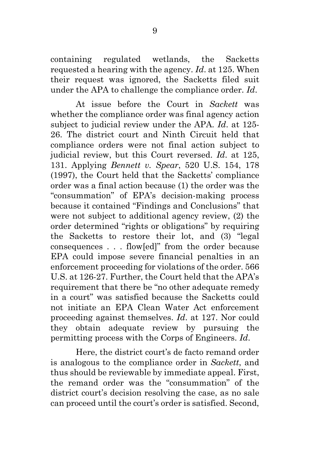containing regulated wetlands, the Sacketts requested a hearing with the agency. *Id*. at 125. When their request was ignored, the Sacketts filed suit under the APA to challenge the compliance order. *Id*.

At issue before the Court in *Sackett* was whether the compliance order was final agency action subject to judicial review under the APA. *Id*. at 125- 26. The district court and Ninth Circuit held that compliance orders were not final action subject to judicial review, but this Court reversed. *Id*. at 125, 131. Applying *Bennett v. Spear*, 520 U.S. 154, 178 (1997), the Court held that the Sacketts' compliance order was a final action because (1) the order was the "consummation" of EPA's decision-making process because it contained "Findings and Conclusions" that were not subject to additional agency review, (2) the order determined "rights or obligations" by requiring the Sacketts to restore their lot, and (3) "legal consequences . . . flow[ed]" from the order because EPA could impose severe financial penalties in an enforcement proceeding for violations of the order. 566 U.S. at 126-27. Further, the Court held that the APA's requirement that there be "no other adequate remedy in a court" was satisfied because the Sacketts could not initiate an EPA Clean Water Act enforcement proceeding against themselves. *Id*. at 127. Nor could they obtain adequate review by pursuing the permitting process with the Corps of Engineers. *Id*.

Here, the district court's de facto remand order is analogous to the compliance order in *Sackett*, and thus should be reviewable by immediate appeal. First, the remand order was the "consummation" of the district court's decision resolving the case, as no sale can proceed until the court's order is satisfied. Second,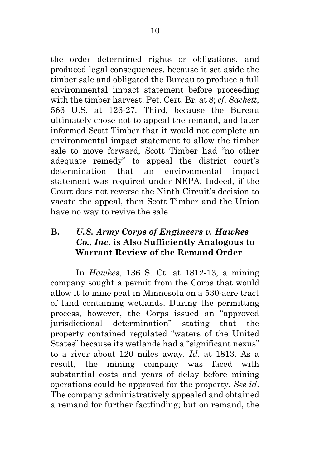the order determined rights or obligations, and produced legal consequences, because it set aside the timber sale and obligated the Bureau to produce a full environmental impact statement before proceeding with the timber harvest. Pet. Cert. Br. at 8; *cf*. *Sackett*, 566 U.S. at 126-27. Third, because the Bureau ultimately chose not to appeal the remand, and later informed Scott Timber that it would not complete an environmental impact statement to allow the timber sale to move forward, Scott Timber had "no other adequate remedy" to appeal the district court's determination that an environmental impact statement was required under NEPA. Indeed, if the Court does not reverse the Ninth Circuit's decision to vacate the appeal, then Scott Timber and the Union have no way to revive the sale.

## <span id="page-14-0"></span>**B.** *U.S. Army Corps of Engineers v. Hawkes Co., Inc.* **is Also Sufficiently Analogous to Warrant Review of the Remand Order**

In *Hawkes*, 136 S. Ct. at 1812-13, a mining company sought a permit from the Corps that would allow it to mine peat in Minnesota on a 530-acre tract of land containing wetlands. During the permitting process, however, the Corps issued an "approved jurisdictional determination" stating that the property contained regulated "waters of the United States" because its wetlands had a "significant nexus" to a river about 120 miles away. *Id*. at 1813. As a result, the mining company was faced with substantial costs and years of delay before mining operations could be approved for the property. *See id*. The company administratively appealed and obtained a remand for further factfinding; but on remand, the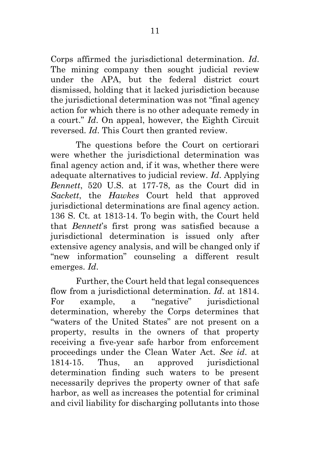Corps affirmed the jurisdictional determination. *Id*. The mining company then sought judicial review under the APA, but the federal district court dismissed, holding that it lacked jurisdiction because the jurisdictional determination was not "final agency action for which there is no other adequate remedy in a court." *Id*. On appeal, however, the Eighth Circuit reversed. *Id*. This Court then granted review.

The questions before the Court on certiorari were whether the jurisdictional determination was final agency action and, if it was, whether there were adequate alternatives to judicial review. *Id*. Applying *Bennett*, 520 U.S. at 177-78, as the Court did in *Sackett*, the *Hawkes* Court held that approved jurisdictional determinations are final agency action. 136 S. Ct*.* at 1813-14. To begin with, the Court held that *Bennett*'s first prong was satisfied because a jurisdictional determination is issued only after extensive agency analysis, and will be changed only if "new information" counseling a different result emerges. *Id*.

Further, the Court held that legal consequences flow from a jurisdictional determination. *Id*. at 1814. For example, a "negative" jurisdictional determination, whereby the Corps determines that "waters of the United States" are not present on a property, results in the owners of that property receiving a five-year safe harbor from enforcement proceedings under the Clean Water Act. *See id*. at 1814-15. Thus, an approved jurisdictional determination finding such waters to be present necessarily deprives the property owner of that safe harbor, as well as increases the potential for criminal and civil liability for discharging pollutants into those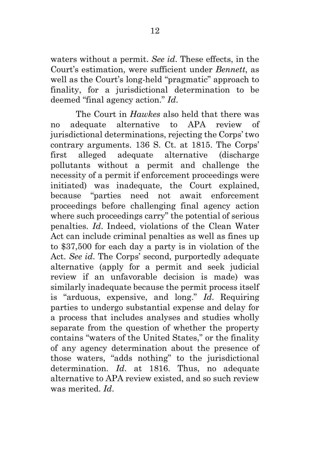waters without a permit. *See id*. These effects, in the Court's estimation, were sufficient under *Bennett*, as well as the Court's long-held "pragmatic" approach to finality, for a jurisdictional determination to be deemed "final agency action." *Id*.

The Court in *Hawkes* also held that there was no adequate alternative to APA review of jurisdictional determinations, rejecting the Corps' two contrary arguments. 136 S. Ct. at 1815. The Corps' first alleged adequate alternative (discharge pollutants without a permit and challenge the necessity of a permit if enforcement proceedings were initiated) was inadequate, the Court explained, because "parties need not await enforcement proceedings before challenging final agency action where such proceedings carry" the potential of serious penalties. *Id*. Indeed, violations of the Clean Water Act can include criminal penalties as well as fines up to \$37,500 for each day a party is in violation of the Act. *See id*. The Corps' second, purportedly adequate alternative (apply for a permit and seek judicial review if an unfavorable decision is made) was similarly inadequate because the permit process itself is "arduous, expensive, and long." *Id*. Requiring parties to undergo substantial expense and delay for a process that includes analyses and studies wholly separate from the question of whether the property contains "waters of the United States," or the finality of any agency determination about the presence of those waters, "adds nothing" to the jurisdictional determination. *Id*. at 1816. Thus, no adequate alternative to APA review existed, and so such review was merited. *Id*.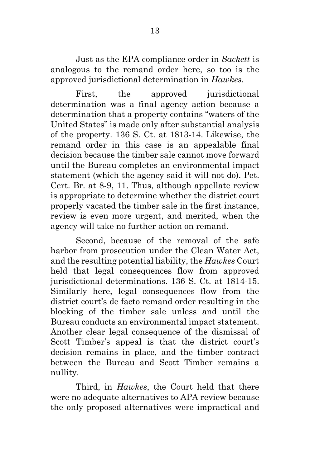Just as the EPA compliance order in *Sackett* is analogous to the remand order here, so too is the approved jurisdictional determination in *Hawkes*.

First, the approved jurisdictional determination was a final agency action because a determination that a property contains "waters of the United States" is made only after substantial analysis of the property. 136 S. Ct. at 1813-14. Likewise, the remand order in this case is an appealable final decision because the timber sale cannot move forward until the Bureau completes an environmental impact statement (which the agency said it will not do). Pet. Cert. Br. at 8-9, 11. Thus, although appellate review is appropriate to determine whether the district court properly vacated the timber sale in the first instance, review is even more urgent, and merited, when the agency will take no further action on remand.

Second, because of the removal of the safe harbor from prosecution under the Clean Water Act, and the resulting potential liability, the *Hawkes* Court held that legal consequences flow from approved jurisdictional determinations. 136 S. Ct. at 1814-15. Similarly here, legal consequences flow from the district court's de facto remand order resulting in the blocking of the timber sale unless and until the Bureau conducts an environmental impact statement. Another clear legal consequence of the dismissal of Scott Timber's appeal is that the district court's decision remains in place, and the timber contract between the Bureau and Scott Timber remains a nullity.

Third, in *Hawkes*, the Court held that there were no adequate alternatives to APA review because the only proposed alternatives were impractical and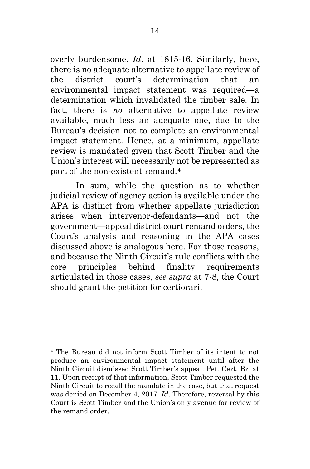overly burdensome. *Id*. at 1815-16. Similarly, here, there is no adequate alternative to appellate review of the district court's determination that an environmental impact statement was required—a determination which invalidated the timber sale. In fact, there is *no* alternative to appellate review available, much less an adequate one, due to the Bureau's decision not to complete an environmental impact statement. Hence, at a minimum, appellate review is mandated given that Scott Timber and the Union's interest will necessarily not be represented as part of the non-existent remand.<sup>[4](#page-18-0)</sup>

In sum, while the question as to whether judicial review of agency action is available under the APA is distinct from whether appellate jurisdiction arises when intervenor-defendants—and not the government—appeal district court remand orders, the Court's analysis and reasoning in the APA cases discussed above is analogous here. For those reasons, and because the Ninth Circuit's rule conflicts with the core principles behind finality requirements articulated in those cases, *see supra* at 7-8, the Court should grant the petition for certiorari.

<span id="page-18-0"></span><sup>4</sup> The Bureau did not inform Scott Timber of its intent to not produce an environmental impact statement until after the Ninth Circuit dismissed Scott Timber's appeal. Pet. Cert. Br. at 11. Upon receipt of that information, Scott Timber requested the Ninth Circuit to recall the mandate in the case, but that request was denied on December 4, 2017. *Id*. Therefore, reversal by this Court is Scott Timber and the Union's only avenue for review of the remand order.